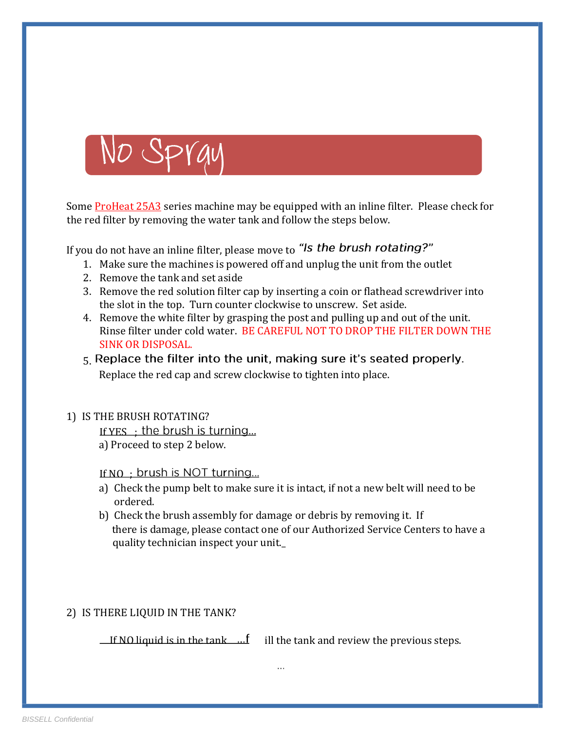

Some **ProHeat 25A3** series machine may be equipped with an inline filter. Please check for the red filter by removing the water tank and follow the steps below.

If you do not have an inline filter, please move to "Is the brush rotating?"

- 1. Make sure the machines is powered off and unplug the unit from the outlet
- 2. Remove the tank and set aside
- 3. Remove the red solution filter cap by inserting a coin or flathead screwdriver into the slot in the top. Turn counter clockwise to unscrew. Set aside.
- 4. Remove the white filter by grasping the post and pulling up and out of the unit. Rinse filter under cold water. BE CAREFUL NOT TO DROP THE FILTER DOWN THE SINK OR DISPOSAL.
- 5. Replace the filter into the unit, making sure it's seated properly. Replace the red cap and screw clockwise to tighten into place.

#### 1) IS THE BRUSH ROTATING?

If YES : the brush is turning...

a) Proceed to step 2 below.

If NO ; brush is NOT turning...

- a) Check the pump belt to make sure it is intact, if not a new belt will need to be ordered.
- b) Check the brush assembly for damage or debris by removing it. If there is damage, please contact one of our Authorized Service Centers to have a quality technician inspect your unit.\_

### 2) IS THERE LIQUID IN THE TANK?

If NO liquid is in the tank  $\ldots$  ill the tank and review the previous steps.

 $\cdots$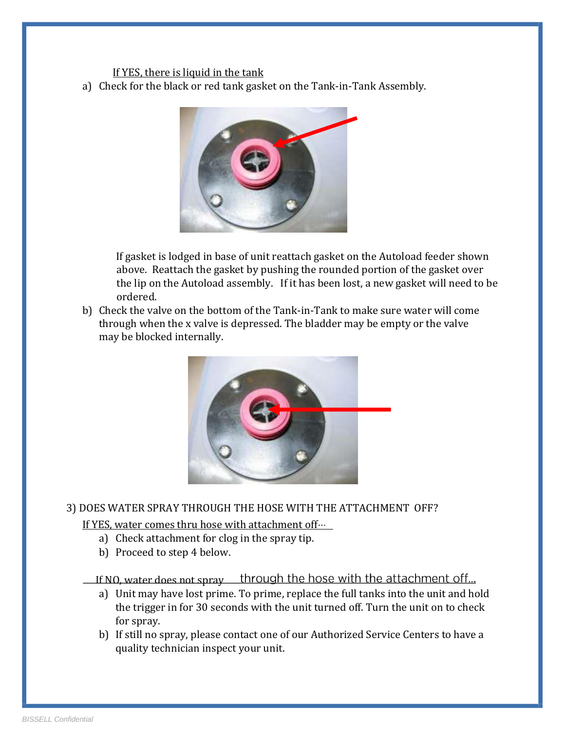#### If YES, there is liquid in the tank

a) Check for the black or red tank gasket on the Tank-in-Tank Assembly.



If gasket is lodged in base of unit reattach gasket on the Autoload feeder shown above. Reattach the gasket by pushing the rounded portion of the gasket over the lip on the Autoload assembly. If it has been lost, a new gasket will need to be ordered.

b) Check the valve on the bottom of the Tank-in-Tank to make sure water will come through when the x valve is depressed. The bladder may be empty or the valve may be blocked internally.



#### 3) DOES WATER SPRAY THROUGH THE HOSE WITH THE ATTACHMENT OFF?

#### If YES, water comes thru hose with attachment off...

- a) Check attachment for clog in the spray tip.
- b) Proceed to step 4 below.

If NO, water does not spray through the hose with the attachment off...

- a) Unit may have lost prime. To prime, replace the full tanks into the unit and hold the trigger in for 30 seconds with the unit turned off. Turn the unit on to check for spray.
- b) If still no spray, please contact one of our Authorized Service Centers to have a quality technician inspect your unit.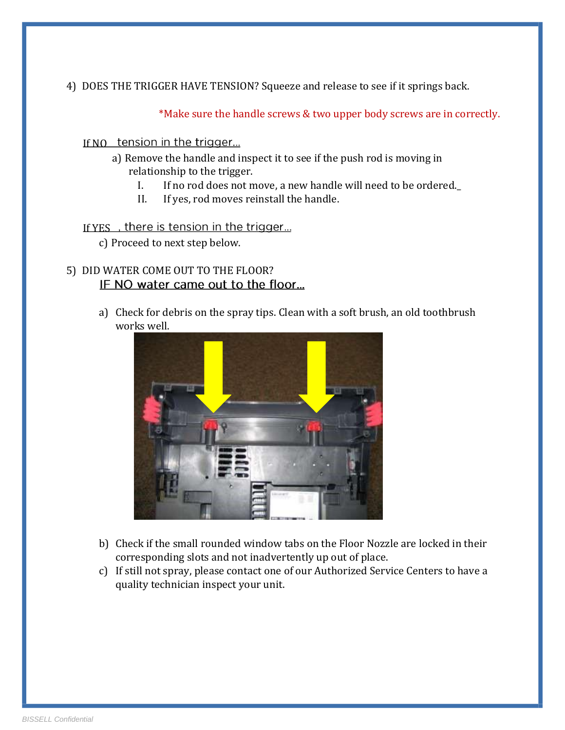4) DOES THE TRIGGER HAVE TENSION? Squeeze and release to see if it springs back.

\*Make sure the handle screws & two upper body screws are in correctly.

#### If NO tension in the trigger...

- a) Remove the handle and inspect it to see if the push rod is moving in relationship to the trigger.
	- I. If no rod does not move, a new handle will need to be ordered.\_
	- II. If yes, rod moves reinstall the handle.

### If YES, there is tension in the trigger...

c) Proceed to next step below.

# 5) DID WATER COME OUT TO THE FLOOR? IF NO water came out to the floor...

a) Check for debris on the spray tips. Clean with a soft brush, an old toothbrush works well.



- b) Check if the small rounded window tabs on the Floor Nozzle are locked in their corresponding slots and not inadvertently up out of place.
- c) If still not spray, please contact one of our Authorized Service Centers to have a quality technician inspect your unit.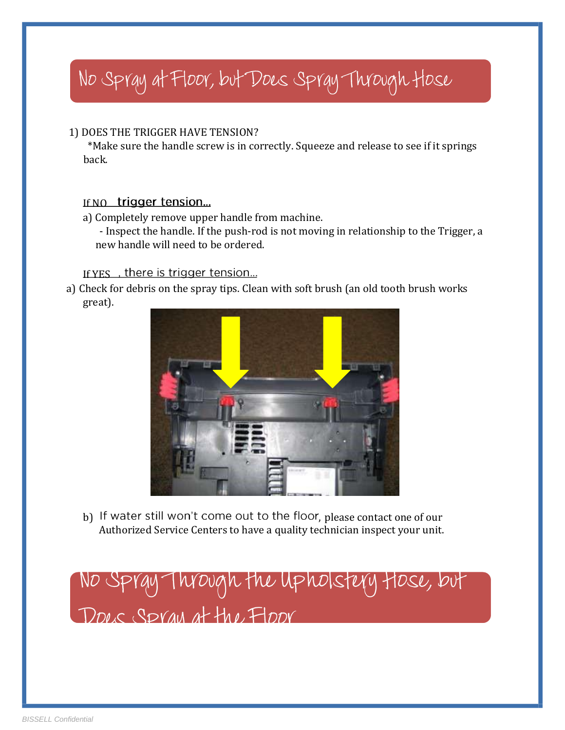# No Spray at Floor, but Does Spray Through Hose

# 1) DOES THE TRIGGER HAVE TENSION?

 \*Make sure the handle screw is in correctly. Squeeze and release to see if it springs back.

# If NO trigger tension...

a) Completely remove upper handle from machine.

- Inspect the handle. If the push-rod is not moving in relationship to the Trigger, a new handle will need to be ordered.

# If YES, there is trigger tension...

a) Check for debris on the spray tips. Clean with soft brush (an old tooth brush works great).



Authorized Service Centers to have a quality technician inspect your unit. b) If water still won't come out to the floor, please contact one of our

No Spray Through the Upholstery Hose, but DOLS SPYAU at the FLOOY